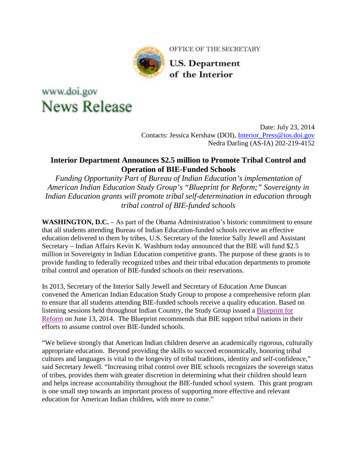

OFFICE OF THE SECRETARY

**U.S. Department** of the Interior

## www.doi.gov **News Release**

Date: July 23, 2014 Contacts: Jessica Kershaw (DOI), [Interior\\_Press@ios.doi.gov](mailto:Interior_Press@ios.doi.gov) Nedra Darling (AS-IA) 202-219-4152

## **Interior Department Announces \$2.5 million to Promote Tribal Control and Operation of BIE-Funded Schools**

*Funding Opportunity Part of Bureau of Indian Education's implementation of American Indian Education Study Group's "Blueprint for Reform;" Sovereignty in Indian Education grants will promote tribal self-determination in education through tribal control of BIE-funded schools*

**WASHINGTON, D.C.** – As part of the Obama Administration's historic commitment to ensure that all students attending Bureau of Indian Education-funded schools receive an effective education delivered to them by tribes, U.S. Secretary of the Interior Sally Jewell and Assistant Secretary – Indian Affairs Kevin K. Washburn today announced that the BIE will fund \$2.5 million in Sovereignty in Indian Education competitive grants. The purpose of these grants is to provide funding to federally recognized tribes and their tribal education departments to promote tribal control and operation of BIE-funded schools on their reservations.

In 2013, Secretary of the Interior Sally Jewell and Secretary of Education Arne Duncan convened the American Indian Education Study Group to propose a comprehensive reform plan to ensure that all students attending BIE-funded schools receive a quality education. Based on listening sessions held throughout Indian Country, the Study Group issued a [Blueprint for](http://links.govdelivery.com/track?type=click&enid=ZWFzPTEmbWFpbGluZ2lkPTIwMTQwNzIzLjM0Mzc2MzUxJm1lc3NhZ2VpZD1NREItUFJELUJVTC0yMDE0MDcyMy4zNDM3NjM1MSZkYXRhYmFzZWlkPTEwMDEmc2VyaWFsPTE3MTI0MTI4JmVtYWlsaWQ9amVzc2ljYV9rZXJzaGF3QGlvcy5kb2kuZ292JnVzZXJpZD1qZXNzaWNhX2tlcnNoYXdAaW9zLmRvaS5nb3YmZmw9JmV4dHJhPU11bHRpdmFyaWF0ZUlkPSYmJg==&&&100&&&http://www.doi.gov/news/loader.cfm?csModule=security/getfile&pageid=537280)  [Reform](http://links.govdelivery.com/track?type=click&enid=ZWFzPTEmbWFpbGluZ2lkPTIwMTQwNzIzLjM0Mzc2MzUxJm1lc3NhZ2VpZD1NREItUFJELUJVTC0yMDE0MDcyMy4zNDM3NjM1MSZkYXRhYmFzZWlkPTEwMDEmc2VyaWFsPTE3MTI0MTI4JmVtYWlsaWQ9amVzc2ljYV9rZXJzaGF3QGlvcy5kb2kuZ292JnVzZXJpZD1qZXNzaWNhX2tlcnNoYXdAaW9zLmRvaS5nb3YmZmw9JmV4dHJhPU11bHRpdmFyaWF0ZUlkPSYmJg==&&&100&&&http://www.doi.gov/news/loader.cfm?csModule=security/getfile&pageid=537280) on June 13, 2014. The Blueprint recommends that BIE support tribal nations in their efforts to assume control over BIE-funded schools.

"We believe strongly that American Indian children deserve an academically rigorous, culturally appropriate education. Beyond providing the skills to succeed economically, honoring tribal cultures and languages is vital to the longevity of tribal traditions, identity and self-confidence," said Secretary Jewell. "Increasing tribal control over BIE schools recognizes the sovereign status of tribes, provides them with greater discretion in determining what their children should learn and helps increase accountability throughout the BIE-funded school system. This grant program is one small step towards an important process of supporting more effective and relevant education for American Indian children, with more to come."